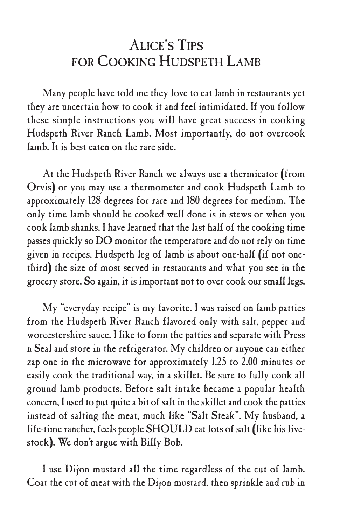# ALICE'S TIPS FOR COOKING HUDSPETH LAMB

Many people have told me they love to eat lamb in restaurants yet they are uncertain how to cook it and feel intimidated. If you follow these simple instructions you will have great success in cooking Hudspeth River Ranch Lamb. Most importantly, do not overcook lamb. It is best eaten on the rare side.

At the Hudspeth River Ranch we always use a thermicator (from Orvis) or you may use a thermometer and cook Hudspeth Lamb to approximately 128 degrees for rare and 180 degrees for medium. The only time lamb should be cooked well done is in stews or when you cook lamb shanks. I have learned that the last half of the cooking time passes quickly so  $DO$  monitor the temperature and do not rely on time given in recipes. Hudspeth leg of lamb is about one-half (if not onethird) the size of most served in restaurants and what you see in the grocery store. So again, it is important not to over cook our small legs.

My "everyday recipe" is my favorite. I was raised on lamb patties from the Hudspeth River Ranch flavored only with salt, pepper and worcestershire sauce. I like to form the patties and separate with Press n Seal and store in the refrigerator. My children or anyone can either zap one in the microwave for approximately 1.25 to 2.00 minutes or easily cook the traditional way, in a skillet. Be sure to fully cook all ground lamb products. Before salt intake became a popular health concern, I used to put quite a bit of salt in the skillet and cook the patties instead of salting the meat, much like "Salt Steak". My husband, a life-time rancher, feels people SHOULD eat lots of salt (like his livestock). We don't argue with Billy Bob.

I use Dijon mustard all the time regardless of the cut of lamb. Coat the cut of meat with the Dijon mustard, then sprinkle and rub in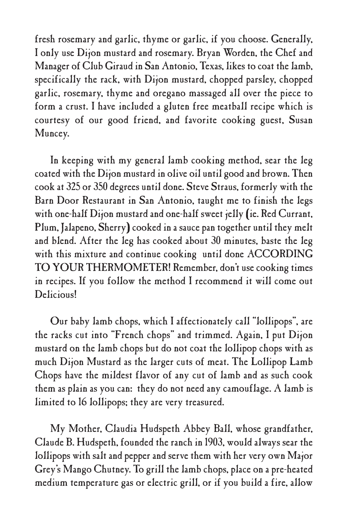fresh rosemary and garlic, thyme or garlic, if you choose. Generally, I only use Dijon mustard and rosemary. Bryan Worden, the Chef and Manager of Club Giraud in San Antonio, Texas, likes to coat the lamb, specifically the rack, with Dijon mustard, chopped parsley, chopped garlic, rosemary, thyme and oregano massaged all over the piece to form a crust. I have included a gluten free meatball recipe which is courtesy of our good friend, and favorite cooking guest, Susan Muncey.

In keeping with my general lamb cooking method, sear the leg coated with the Dijon mustard in olive oil until good and brown. Then cook at 325 or 350 degrees until done. Steve Straus, formerly with the Barn Door Restaurant in San Antonio, taught me to finish the legs with one-half Dijon mustard and one-half sweet jelly (ie. Red Currant, Plum, Jalapeno, Sherry) cooked in a sauce pan together until they melt and blend. After the leg has cooked about 30 minutes, baste the leg with this mixture and continue cooking until done ACCORDING TO YOUR THERMOMETER! Remember, don't use cooking times in recipes. If you follow the method I recommend it will come out Delicious!

Our baby lamb chops, which I affectionately call "lollipops", are the racks cut into "French chops" and trimmed. Again, I put Dijon mustard on the lamb chops but do not coat the lollipop chops with as much Dijon Mustard as the larger cuts of meat. The Lollipop Lamb Chops have the mildest flavor of any cut of lamb and as such cook them as plain as you can: they do not need any camouflage. A lamb is limited to 16 lollipops; they are very treasured.

My Mother, Claudia Hudspeth Abbey Ball, whose grandfather, Claude B. Hudspeth, founded the ranch in 1903, would always sear the lollipops with salt and pepper and serve them with her very own Major Grey's Mango Chutney. To grill the lamb chops, place on a pre-heated medium temperature gas or electric grill, or if you build a fire, allow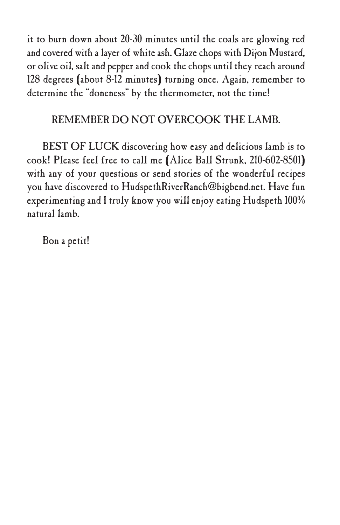it to burn down about 20-30 minutes until the coals are glowing red and covered with a layer of white ash. Glaze chops with Dijon Mustard, or olive oil, salt and pepper and cook thechops until they reach around 128 degrees (about 8-12 minutes) turning once. Again, remember to determine the "doneness" by the thermometer, not the time!

#### REMEMBER DO NOT OVERCOOK THE LAMB.

BEST OF LUCK discovering how easy and delicious lamb is to cook! Please feel free to call me (Alice Ball Strunk, 210-602-8501) with any of your questions or send stories of the wonderful recipes you have discovered to HudspethRiverRanch@bigbend.net. Have fun experimenting and I truly know you will enjoy eating Hudspeth 100% natural lamb.

Bon a petit!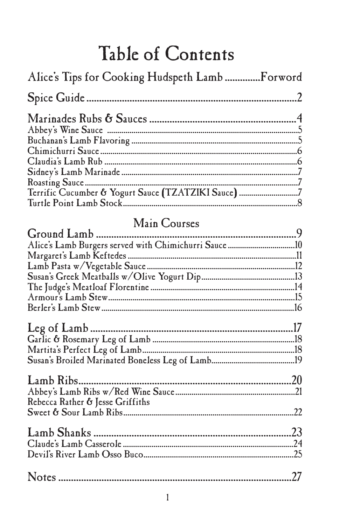# Table of Contents

| Alice's Tips for Cooking Hudspeth Lamb  Forword     |            |
|-----------------------------------------------------|------------|
|                                                     | $\ldots$ 2 |
|                                                     |            |
|                                                     |            |
|                                                     |            |
|                                                     |            |
|                                                     |            |
|                                                     |            |
|                                                     |            |
| Terrific Cucumber & Yogurt Sauce (TZATZIKI Sauce) 7 |            |
|                                                     | .8         |

# Main Courses

| Rebecca Rather & Jesse Griffiths |  |
|----------------------------------|--|
|                                  |  |
|                                  |  |
|                                  |  |
|                                  |  |
|                                  |  |
|                                  |  |
|                                  |  |
|                                  |  |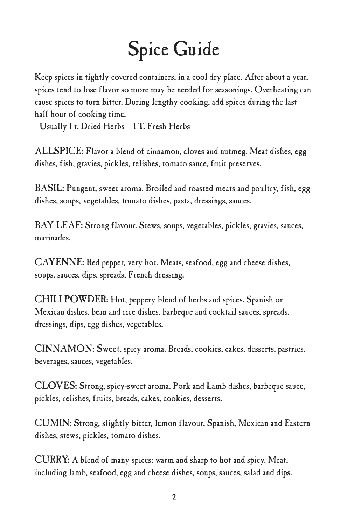# Spice Guide

Keep spices in tightly covered containers, in a cool dry place. After about a year, spices tend to lose flavor so more may be needed for seasonings. Overheating can cause spices to turn bitter. During lengthy cooking, add spices during the last half hour of cooking time.

Usually 1 t. Dried Herbs = 1 T. Fresh Herbs

ALLSPICE: Flavor a blend of cinnamon, cloves and nutmeg. Meat dishes, egg dishes, fish, gravies, pickles, relishes, tomato sauce, fruit preserves.

BASIL: Pungent, sweet aroma. Broiled and roasted meats and poultry, fish, egg dishes, soups, vegetables, tomato dishes, pasta, dressings, sauces.

BAY LEAF: Strong flavour. Stews, soups, vegetables, pickles, gravies, sauces, marinades.

CAYENNE: Red pepper, very hot. Meats, seafood, egg and cheese dishes, soups, sauces, dips, spreads, French dressing.

CHILI POWDER: Hot, peppery blend of herbs and spices. Spanish or Mexican dishes, bean and rice dishes, barbeque and cocktail sauces, spreads, dressings, dips, egg dishes, vegetables.

CINNAMON: Sweet, spicy aroma. Breads, cookies, cakes, desserts, pastries, beverages, sauces, vegetables.

CLOVES: Strong, spicy-sweet aroma. Pork and Lamb dishes, barbeque sauce, pickles, relishes, fruits, breads, cakes, cookies, desserts.

CUMIN: Strong, slightly bitter, lemon flavour. Spanish, Mexican and Eastern dishes, stews, pickles, tomato dishes.

CURRY: A blend of many spices; warm and sharp to hot and spicy. Meat, including lamb, seafood, egg and cheese dishes, soups, sauces, salad and dips.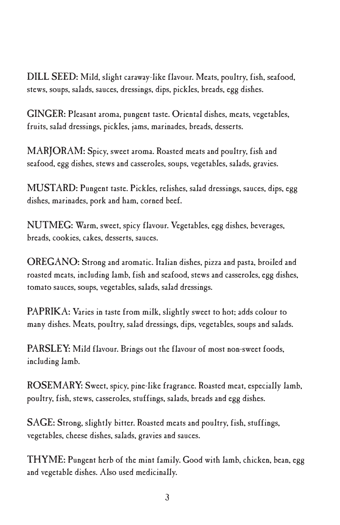DILL SEED: Mild, slight caraway-like flavour. Meats, poultry, fish, seafood, stews, soups, salads, sauces, dressings, dips, pickles, breads, egg dishes.

GINGER: Pleasant aroma, pungent taste. Oriental dishes, meats, vegetables, fruits, salad dressings, pickles, jams, marinades, breads, desserts.

MARJORAM: Spicy, sweet aroma. Roasted meats and poultry, fish and seafood, egg dishes, stews and casseroles, soups, vegetables, salads, gravies.

MUSTARD: Pungent taste. Pickles, relishes, salad dressings, sauces, dips, egg dishes, marinades, pork and ham, corned beef.

NUTMEG: Warm, sweet, spicy flavour. Vegetables, egg dishes, beverages, breads, cookies, cakes, desserts, sauces.

OREGANO: Strong and aromatic. Italian dishes, pizza and pasta, broiled and roasted meats, including lamb, fish and seafood, stews and casseroles, egg dishes, tomato sauces, soups, vegetables, salads, salad dressings.

PAPRIKA: Varies in taste from milk, slightly sweet to hot; adds colour to many dishes. Meats, poultry, salad dressings, dips, vegetables, soups and salads.

PARSLEY: Mild flavour. Brings out the flavour of most non-sweet foods, including lamb.

ROSEMARY: Sweet, spicy, pine-like fragrance. Roasted meat, especially lamb, poultry, fish, stews, casseroles, stuffings, salads, breads and egg dishes.

SAGE: Strong, slightly bitter. Roasted meats and poultry, fish, stuffings, vegetables, cheese dishes, salads, gravies and sauces.

THYME: Pungent herb of the mint family. Good with lamb, chicken, bean, egg and vegetable dishes. Also used medicinally.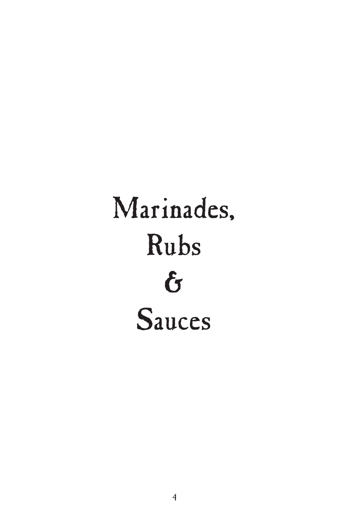# Marinades, Rubs & Sauces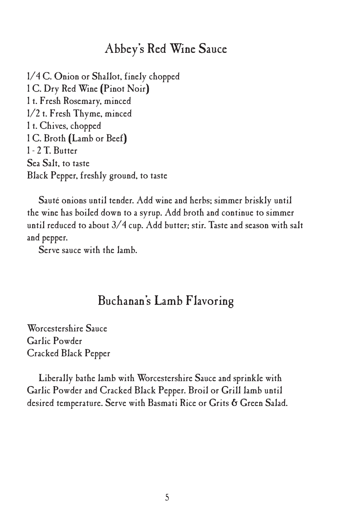#### Abbey's Red Wine Sauce

1/4 C. Onion or Shallot, finely chopped 1 C. Dry Red Wine (Pinot Noir) 1 t. Fresh Rosemary, minced 1/2 t. Fresh Thyme, minced 1 t. Chives, chopped 1 C. Broth (Lamb or Beef) 1 - 2 T. Butter Sea Salt, to taste Black Pepper, freshly ground, to taste

Sauté onions until tender. Add wine and herbs; simmer briskly until the wine has boiled down to a syrup. Add broth and continue to simmer until reduced to about 3/4 cup. Add butter; stir. Taste and season with salt and pepper.

Serve sauce with the lamb.

#### Buchanan's Lamb Flavoring

Worcestershire Sauce Garlic Powder Cracked Black Pepper

Liberally bathe lamb with Worcestershire Sauce and sprinkle with Garlic Powder and Cracked Black Pepper. Broil or Grill lamb until desired temperature. Serve with Basmati Rice or Grits & Green Salad.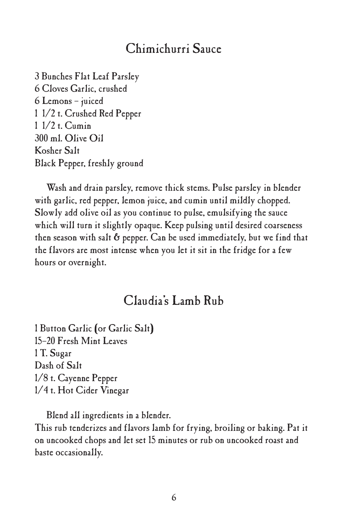## Chimichurri Sauce

 Bunches Flat Leaf Parsley Cloves Garlic, crushed Lemons – juiced 1/2 t. Crushed Red Pepper 1/2 t. Cumin ml. Olive Oil Kosher Salt Black Pepper, freshly ground

Wash and drain parsley, remove thick stems. Pulse parsley in blender with garlic, red pepper, lemon juice, and cumin until mildly chopped. Slowly add olive oil as you continue to pulse, emulsifying the sauce which will turn it slightly opaque. Keep pulsing until desired coarseness then season with salt  $6$  pepper. Can be used immediately, but we find that the flavors are most intense when you let it sit in the fridge for a few hours or overnight.

#### Claudia's Lamb Rub

1 Button Garlic (or Garlic Salt) 15–20 Fresh Mint Leaves 1 T. Sugar Dash of Salt 1/8 t. Cayenne Pepper 1/4 t. Hot Cider Vinegar

Blend all ingredients in a blender.

This rub tenderizes and flavors lamb for frying, broiling or baking. Pat it on uncooked chops and let set 15 minutes or rub on uncooked roast and baste occasionally.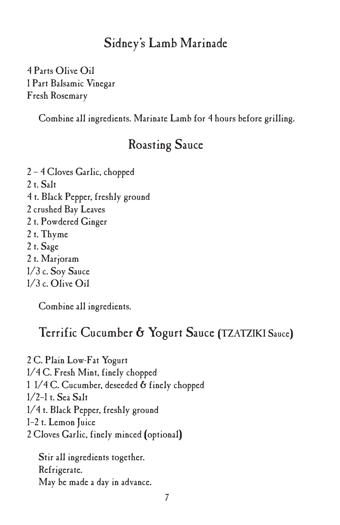### Sidney's Lamb Marinade

4 Parts Olive Oil 1 Part Balsamic Vinegar Fresh Rosemary

Combine all ingredients. Marinate Lamb for 4 hours before grilling.

## Roasting Sauce

2 – 4 Cloves Garlic, chopped 2 t. Salt 4 t. Black Pepper, freshly ground 2 crushed Bay Leaves 2 t. Powdered Ginger 2 t. Thyme 2 t. Sage 2 t. Marjoram 1/3 c. Soy Sauce 1/3 c. Olive Oil

Combine all ingredients.

#### Terrific Cucumber & Yogurt Sauce (TZATZIKI Sauce)

2 C. Plain Low-Fat Yogurt 1/4 C. Fresh Mint, finely chopped 1 1/4 C. Cucumber, deseeded & finely chopped 1/2–1 t. Sea Salt 1/4 t. Black Pepper, freshly ground 1–2 t. Lemon Juice 2 Cloves Garlic, finely minced (optional)

Stir all ingredients together. Refrigerate. May be made a day in advance.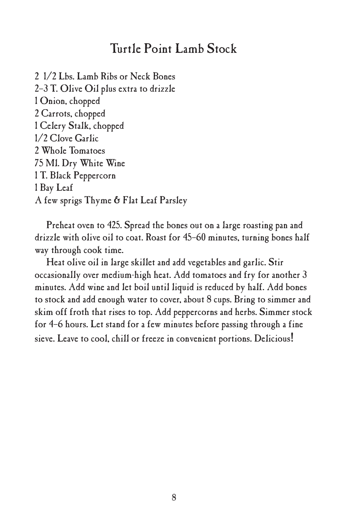#### Turtle Point Lamb Stock

 1/2 Lbs. Lamb Ribs or Neck Bones 2–3 T. Olive Oil plus extra to drizzle Onion, chopped Carrots, chopped Celery Stalk, chopped 1/2 Clove Garlic Whole Tomatoes Ml. Dry White Wine T. Black Peppercorn 1 Bay Leaf A few sprigs Thyme & Flat Leaf Parsley

Preheat oven to 425. Spread the bones out on a large roasting pan and drizzle with olive oil to coat. Roast for 45–60 minutes, turning bones half way through cook time.

Heat olive oil in large skillet and add vegetables and garlic. Stir occasionally over medium-high heat. Add tomatoes and fry for another 3 minutes. Add wine and let boil until liquid is reduced by half. Add bones to stock and add enough water to cover, about 8 cups. Bring to simmer and skim off froth that rises to top. Add peppercorns and herbs. Simmer stock for 4–6 hours. Let stand for a few minutes before passing through a fine sieve. Leave to cool, chill or freeze in convenient portions. Delicious!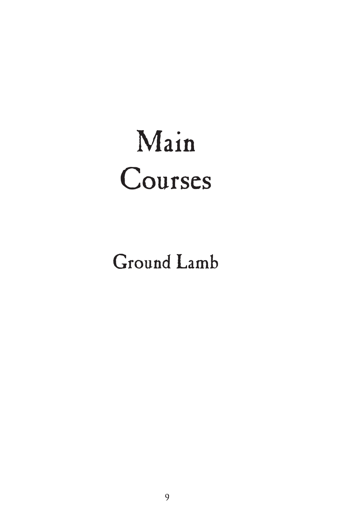# Main Courses

Ground Lamb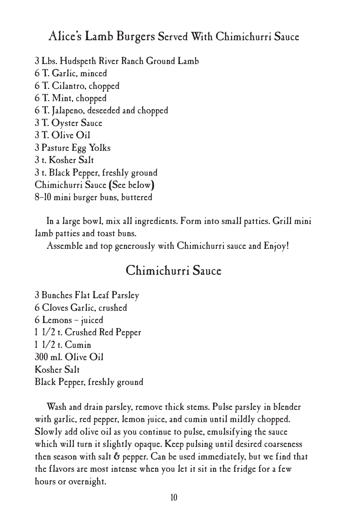#### Alice's Lamb Burgers Served With Chimichurri Sauce

 Lbs. Hudspeth River Ranch Ground Lamb T. Garlic, minced T. Cilantro, chopped T. Mint, chopped T. Jalapeno, deseeded and chopped T. Oyster Sauce T. Olive Oil Pasture Egg Yolks t. Kosher Salt t. Black Pepper, freshly ground Chimichurri Sauce (See below) 8–10 mini burger buns, buttered

In a large bowl, mix all ingredients. Form into small patties. Grill mini lamb patties and toast buns.

Assemble and top generously with Chimichurri sauce and Enjoy!

#### Chimichurri Sauce

 Bunches Flat Leaf Parsley Cloves Garlic, crushed Lemons – juiced 1/2 t. Crushed Red Pepper 1/2 t. Cumin ml. Olive Oil Kosher Salt Black Pepper, freshly ground

Wash and drain parsley, remove thick stems. Pulse parsley in blender with garlic, red pepper, lemon juice, and cumin until mildly chopped. Slowly add olive oil as you continue to pulse, emulsifying the sauce which will turn it slightly opaque. Keep pulsing until desired coarseness then season with salt  $6$  pepper. Can be used immediately, but we find that the flavors are most intense when you let it sit in the fridge for a few hours or overnight.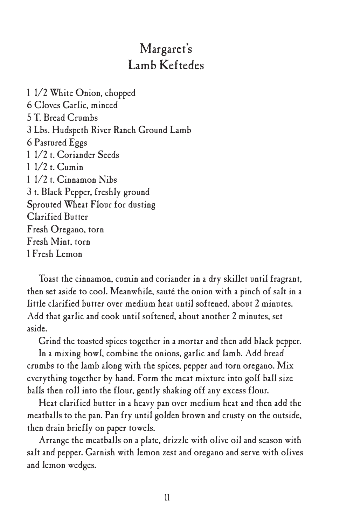# Margaret's Lamb Keftedes

 1/2 White Onion, chopped Cloves Garlic, minced T. Bread Crumbs Lbs. Hudspeth River Ranch Ground Lamb Pastured Eggs 1/2 t. Coriander Seeds 1/2 t. Cumin 1/2 t. Cinnamon Nibs t. Black Pepper, freshly ground Sprouted Wheat Flour for dusting Clarified Butter Fresh Oregano, torn Fresh Mint, torn Fresh Lemon

Toast the cinnamon, cumin and coriander in a dry skillet until fragrant, then set aside to cool. Meanwhile, sauté the onion with a pinch of salt in a little clarified butter over medium heat until softened, about 2 minutes. Add that garlic and cook until softened, about another 2 minutes, set aside.

Grind the toasted spices together in a mortar and then add black pepper.

In a mixing bowl, combine the onions, garlic and lamb. Add bread crumbs to the lamb along with the spices, pepper and torn oregano. Mix everything together by hand. Form the meat mixture into golf ball size balls then roll into the flour, gently shaking off any excess flour.

Heat clarified butter in a heavy pan over medium heat and then add the meatballs to the pan. Pan fry until golden brown and crusty on the outside, then drain briefly on paper towels.

Arrange the meatballs on a plate, drizzle with olive oil and season with salt and pepper. Garnish with lemon zest and oregano and serve with olives and lemon wedges.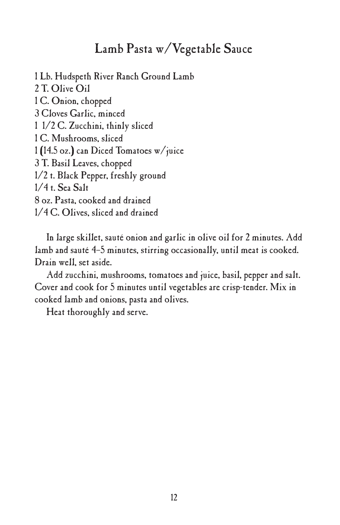### Lamb Pasta w/Vegetable Sauce

 Lb. Hudspeth River Ranch Ground Lamb T. Olive Oil C. Onion, chopped Cloves Garlic, minced 1/2 C. Zucchini, thinly sliced C. Mushrooms, sliced (14.5 oz.) can Diced Tomatoes w/juice T. Basil Leaves, chopped 1/2 t. Black Pepper, freshly ground 1/4 t. Sea Salt oz. Pasta, cooked and drained 1/4 C. Olives, sliced and drained

In large skillet, sauté onion and garlic in olive oil for 2 minutes. Add lamb and sauté 4–5 minutes, stirring occasionally, until meat is cooked. Drain well, set aside.

Add zucchini, mushrooms, tomatoes and juice, basil, pepper and salt. Cover and cook for 5 minutes until vegetables are crisp-tender. Mix in cooked lamb and onions, pasta and olives.

Heat thoroughly and serve.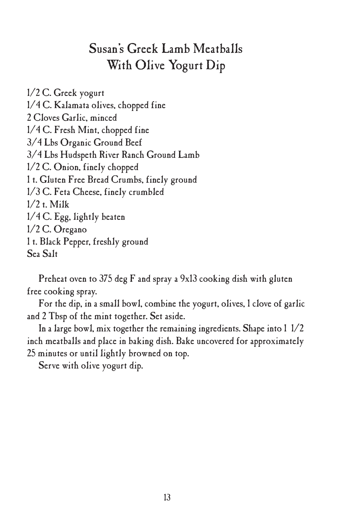# Susan's Greek Lamb Meatballs With Olive Yogurt Dip

1/2 C. Greek yogurt 1/4 C. Kalamata olives, chopped fine 2 Cloves Garlic, minced 1/4 C. Fresh Mint, chopped fine 3/4 Lbs Organic Ground Beef 3/4 Lbs Hudspeth River Ranch Ground Lamb 1/2 C. Onion, finely chopped 1 t. Gluten Free Bread Crumbs, finely ground 1/3 C. Feta Cheese, finely crumbled 1/2 t. Milk 1/4 C. Egg, lightly beaten 1/2 C. Oregano 1 t. Black Pepper, freshly ground Sea Salt

Preheat oven to 375 deg F and spray a 9x13 cooking dish with gluten free cooking spray.

For the dip, in a small bowl, combine the yogurt, olives, 1 clove of garlic and 2 Tbsp of the mint together. Set aside.

In a large bowl, mix together the remaining ingredients. Shape into 1 1/2 inch meatballs and place in baking dish. Bake uncovered for approximately 25 minutes or until lightly browned on top.

Serve with olive yogurt dip.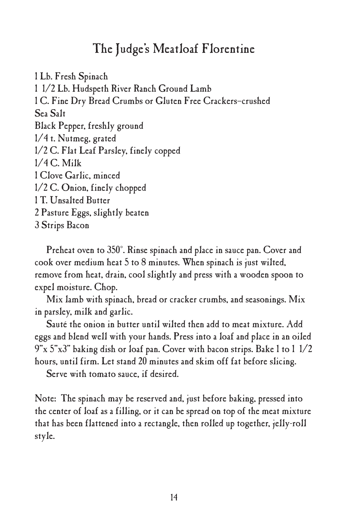## The Judge's Meatloaf Florentine

1 Lb. Fresh Spinach 1 1/2 Lb. Hudspeth River Ranch Ground Lamb 1 C. Fine Dry Bread Crumbs or Gluten Free Crackers–crushed Sea Salt Black Pepper, freshly ground 1/4 t. Nutmeg, grated 1/2 C. Flat Leaf Parsley, finely copped 1/4 C. Milk 1 Clove Garlic, minced 1/2 C. Onion, finely chopped 1 T. Unsalted Butter 2 Pasture Eggs, slightly beaten 3 Strips Bacon

Preheat oven to 350˚. Rinse spinach and place in sauce pan. Cover and cook over medium heat 5 to 8 minutes. When spinach is just wilted, remove from heat, drain, cool slightly and press with a wooden spoon to expel moisture. Chop.

Mix lamb with spinach, bread or cracker crumbs, and seasonings. Mix in parsley, milk and garlic.

Sauté the onion in butter until wilted then add to meat mixture. Add eggs and blend well with your hands. Press into a loaf and place in an oiled 9"x 5"x3" baking dish or loaf pan. Cover with bacon strips. Bake 1 to 1 1/2 hours, until firm. Let stand 20 minutes and skim off fat before slicing.

Serve with tomato sauce, if desired.

Note: The spinach may be reserved and, just before baking, pressed into the center of loaf as a filling, or it can be spread on top of the meat mixture that has been flattened into a rectangle, then rolled up together, jelly-roll style.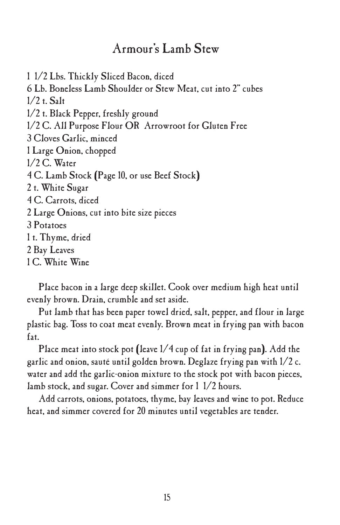#### Armour's Lamb Stew

 1/2 Lbs. Thickly Sliced Bacon, diced Lb. Boneless Lamb Shoulder or Stew Meat, cut into 2" cubes 1/2 t. Salt 1/2 t. Black Pepper, freshly ground 1/2 C. All Purpose Flour OR Arrowroot for Gluten Free Cloves Garlic, minced Large Onion, chopped 1/2 C. Water C. Lamb Stock (Page 10, or use Beef Stock) t. White Sugar C. Carrots, diced Large Onions, cut into bite size pieces 3 Potatoes t. Thyme, dried Bay Leaves C. White Wine

Place bacon in a large deep skillet. Cook over medium high heat until evenly brown. Drain, crumble and set aside.

Put lamb that has been paper towel dried, salt, pepper, and flour in large plastic bag. Toss to coat meat evenly. Brown meat in frying pan with bacon fat.

Place meat into stock pot (leave 1/4 cup of fat in frying pan). Add the garlic and onion, sauté until golden brown. Deglaze frying pan with 1/2 c. water and add the garlic-onion mixture to the stock pot with bacon pieces, lamb stock, and sugar. Cover and simmer for 1 1/2 hours.

Add carrots, onions, potatoes, thyme, bay leaves and wine to pot. Reduce heat, and simmer covered for 20 minutes until vegetables are tender.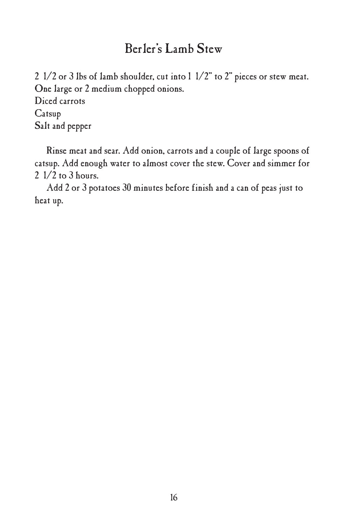# Berler's Lamb Stew

2 1/2 or 3 lbs of lamb shoulder, cut into 1 1/2" to 2" pieces or stew meat. One large or 2 medium chopped onions. Diced carrots

Catsup Salt and pepper

Rinse meat and sear. Add onion, carrots and a couple of large spoons of catsup. Add enough water to almost cover the stew. Cover and simmer for 2 1/2 to 3 hours.

Add 2 or 3 potatoes 30 minutes before finish and a can of peas just to heat up.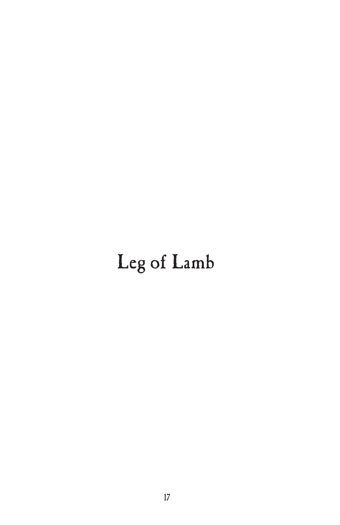# Leg of Lamb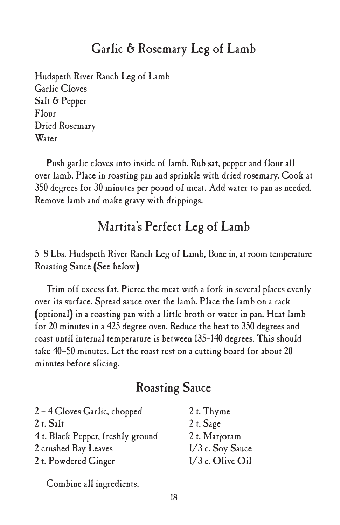## Garlic & Rosemary Leg of Lamb

Hudspeth River Ranch Leg of Lamb Garlic Cloves Salt & Pepper Flour Dried Rosemary Water

Push garlic cloves into inside of lamb. Rub sat, pepper and flour all over lamb. Place in roasting pan and sprinkle with dried rosemary. Cook at 350 degrees for 30 minutes per pound of meat. Add water to pan as needed. Remove lamb and make gravy with drippings.

## Martita's Perfect Leg of Lamb

#### 5–8 Lbs. Hudspeth River Ranch Leg of Lamb, Bonein, at room temperature Roasting Sauce (See below)

Trim off excess fat. Pierce the meat with a fork in several places evenly over its surface. Spread sauce over the lamb. Place the lamb on a rack (optional) in a roasting pan with a little broth or water in pan. Heat lamb for 20 minutes in a 425 degree oven. Reduce the heat to 350 degrees and roast until internal temperature is between 135–140 degrees. This should take 40–50 minutes. Let the roast rest on a cutting board for about 20 minutes before slicing.

#### Roasting Sauce

| 2 - 4 Cloves Garlic, chopped      | 2 t. Thyme         |
|-----------------------------------|--------------------|
| 2 t. Salt                         | $2$ t. Sage        |
| 4 t. Black Pepper, freshly ground | 2 t. Marjoram      |
| 2 crushed Bay Leaves              | $1/3$ c. Soy Sauce |
| 2 t. Powdered Ginger              | 1/3 c. Olive Oil   |

Combine all ingredients.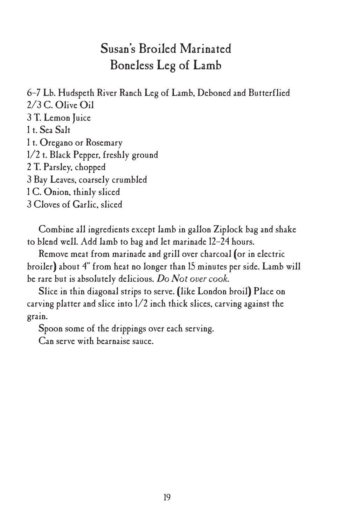# Susan's Broiled Marinated Boneless Leg of Lamb

6–7 Lb. Hudspeth River Ranch Leg of Lamb, Deboned and Butterflied 2/3 C. Olive Oil T. Lemon Juice t. Sea Salt t. Oregano or Rosemary 1/2 t. Black Pepper, freshly ground T. Parsley, chopped Bay Leaves, coarsely crumbled C. Onion, thinly sliced Cloves of Garlic, sliced

Combine all ingredients except lamb in gallon Ziplock bag and shake to blend well. Add lamb to bag and let marinade 12–24 hours.

Remove meat from marinade and grill over charcoal (or in electric broiler) about 4" from heat no longer than 15 minutes per side. Lamb will be rare but is absolutely delicious. *Do Not over cook.*

Slice in thin diagonal strips to serve. (like London broil) Place on carving platter and slice into 1/2 inch thick slices, carving against the grain.

Spoon some of the drippings over each serving.

Can serve with bearnaise sauce.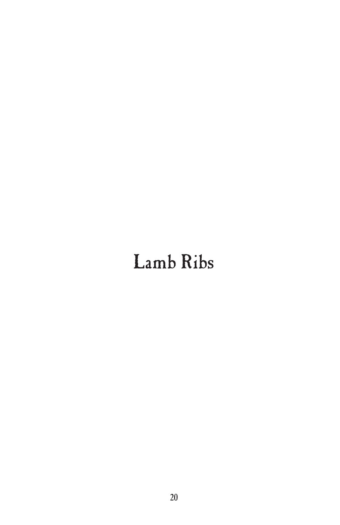# Lamb Ribs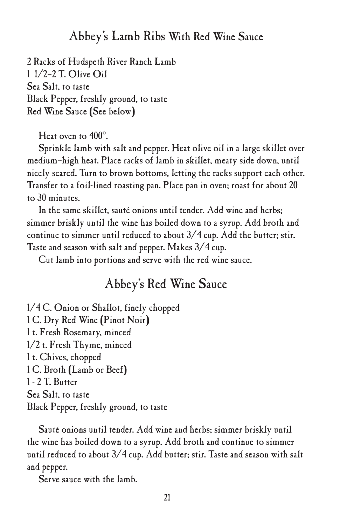#### Abbey's Lamb Ribs With Red Wine Sauce

2 Racks of Hudspeth River Ranch Lamb 1 1/2–2 T. Olive Oil Sea Salt, to taste Black Pepper, freshly ground, to taste Red Wine Sauce (See below)

Heat oven to 400°.

Sprinkle lamb with salt and pepper. Heat olive oil in a large skillet over medium–high heat. Place racks of lamb in skillet, meaty side down, until nicely seared. Turn to brown bottoms, letting the racks support each other. Transfer to a foil-lined roasting pan. Place pan in oven; roast for about 20 to 30 minutes.

In the same skillet, sauté onions until tender. Add wine and herbs; simmer briskly until the wine has boiled down to a syrup. Add broth and continue to simmer until reduced to about  $3/4$  cup. Add the butter; stir. Taste and season with salt and pepper. Makes 3/4 cup.

Cut lamb into portions and serve with the red wine sauce.

#### Abbey's Red Wine Sauce

1/4 C. Onion or Shallot, finely chopped 1 C. Dry Red Wine (Pinot Noir) 1 t. Fresh Rosemary, minced 1/2 t. Fresh Thyme, minced 1 t. Chives, chopped 1 C. Broth (Lamb or Beef) 1 - 2 T. Butter Sea Salt, to taste Black Pepper, freshly ground, to taste

Sauté onions until tender. Add wine and herbs; simmer briskly until the wine has boiled down to a syrup. Add broth and continue to simmer until reduced to about 3/4 cup. Add butter; stir. Taste and season with salt and pepper.

Serve sauce with the lamb.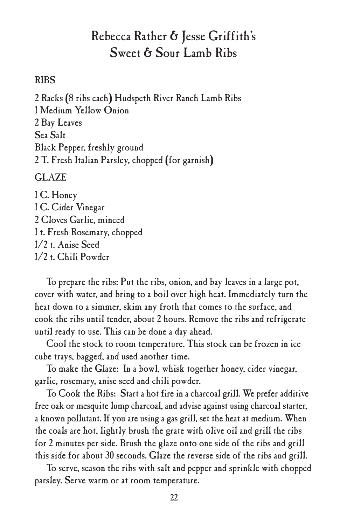# Rebecca Rather & Jesse Griffith's Sweet & Sour Lamb Ribs

#### RIBS

 Racks (8 ribs each) Hudspeth River Ranch Lamb Ribs Medium Yellow Onion Bay Leaves Sea Salt Black Pepper, freshly ground T. Fresh Italian Parsley, chopped (for garnish)

#### GLAZE

1 C. Honey 1 C. Cider Vinegar 2 Cloves Garlic, minced 1 t. Fresh Rosemary, chopped 1/2 t. Anise Seed 1/2 t. Chili Powder

To prepare the ribs: Put the ribs, onion, and bay leaves in a large pot, cover with water, and bring to a boil over high heat. Immediately turn the heat down to a simmer, skim any froth that comes to the surface, and cook the ribs until tender, about 2 hours. Remove the ribs and refrigerate until ready to use. This can be done a day ahead.

Cool the stock to room temperature. This stock can be frozen in ice cube trays, bagged, and used another time.

To make the Glaze: In a bowl, whisk together honey, cider vinegar, garlic, rosemary, anise seed and chili powder.

To Cook the Ribs: Start a hot fire in a charcoal grill. We prefer additive free oak or mesquite lump charcoal, and advise against using charcoal starter, a known pollutant. If you are using a gas grill, set the heat at medium. When the coals are hot, lightly brush the grate with olive oil and grill the ribs for 2 minutes per side. Brush the glaze onto one side of the ribs and grill this side for about 30 seconds. Glaze the reverse side of the ribs and grill.

To serve, season the ribs with salt and pepper and sprinkle with chopped parsley. Serve warm or at room temperature.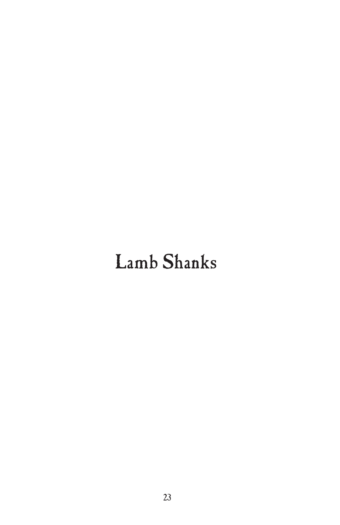# Lamb Shanks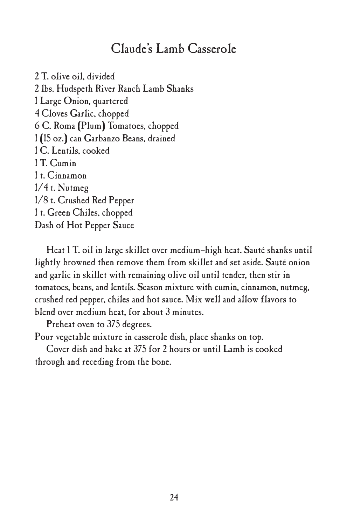#### Claude's Lamb Casserole

 T. olive oil, divided lbs. Hudspeth River Ranch Lamb Shanks Large Onion, quartered Cloves Garlic, chopped C. Roma (Plum) Tomatoes, chopped (15 oz.) can Garbanzo Beans, drained C. Lentils, cooked 1 T. Cumin t. Cinnamon 1/4 t. Nutmeg 1/8 t. Crushed Red Pepper t. Green Chiles, chopped Dash of Hot Pepper Sauce

Heat 1 T. oil in large skillet over medium–high heat. Sauté shanks until lightly browned then remove them from skillet and set aside. Sauté onion and garlic in skillet with remaining olive oil until tender, then stir in tomatoes, beans, and lentils. Season mixture with cumin, cinnamon, nutmeg, crushed red pepper, chiles and hot sauce. Mix well and allow flavors to blend over medium heat, for about 3 minutes.

Preheat oven to 375 degrees.

Pour vegetable mixture in casserole dish, place shanks on top.

Cover dish and bake at 375 for 2 hours or until Lamb is cooked through and receding from the bone.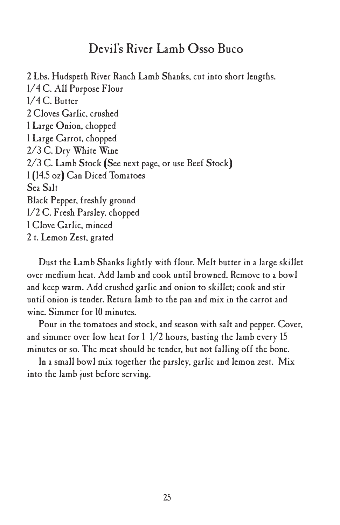#### Devil's River Lamb Osso Buco

2 Lbs. Hudspeth River Ranch Lamb Shanks, cut into short lengths. 1/4 C. All Purpose Flour 1/4 C. Butter 2 Cloves Garlic, crushed 1 Large Onion, chopped 1 Large Carrot, chopped 2/3 C. Dry White Wine 2/3 C. Lamb Stock (See next page, or use Beef Stock) 1 (14.5 oz) Can Diced Tomatoes Sea Salt Black Pepper, freshly ground 1/2 C. Fresh Parsley, chopped 1 Clove Garlic, minced 2 t. Lemon Zest, grated

Dust the Lamb Shanks lightly with flour. Melt butter in a large skillet over medium heat. Add lamb and cook until browned. Remove to a bowl and keep warm. Add crushed garlic and onion to skillet; cook and stir until onion is tender. Return lamb to the pan and mix in the carrot and wine. Simmer for 10 minutes.

Pour in the tomatoes and stock, and season with salt and pepper. Cover, and simmer over low heat for 1 1/2 hours, basting the lamb every 15 minutes or so. The meat should be tender, but not falling off the bone.

In a small bowl mix together the parsley, garlic and lemon zest. Mix into the lamb just before serving.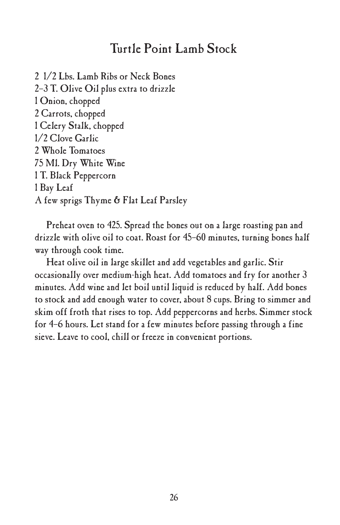#### Turtle Point Lamb Stock

 1/2 Lbs. Lamb Ribs or Neck Bones 2–3 T. Olive Oil plus extra to drizzle Onion, chopped Carrots, chopped Celery Stalk, chopped 1/2 Clove Garlic Whole Tomatoes Ml. Dry White Wine T. Black Peppercorn 1 Bay Leaf A few sprigs Thyme & Flat Leaf Parsley

Preheat oven to 425. Spread the bones out on a large roasting pan and drizzle with olive oil to coat. Roast for 45–60 minutes, turning bones half way through cook time.

Heat olive oil in large skillet and add vegetables and garlic. Stir occasionally over medium-high heat. Add tomatoes and fry for another 3 minutes. Add wine and let boil until liquid is reduced by half. Add bones to stock and add enough water to cover, about 8 cups. Bring to simmer and skim off froth that rises to top. Add peppercorns and herbs. Simmer stock for 4–6 hours. Let stand for a few minutes before passing through a fine sieve. Leave to cool, chill or freeze in convenient portions.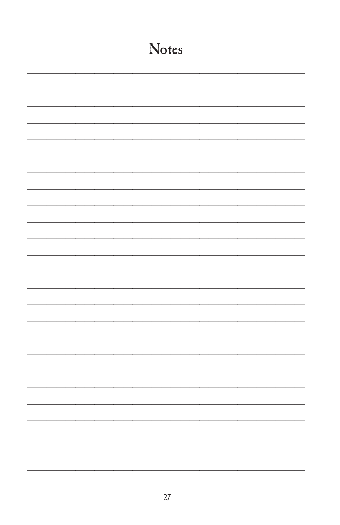| <b>Notes</b> |
|--------------|
|              |
|              |
|              |
|              |
|              |
|              |
|              |
|              |
|              |
|              |
|              |
|              |
|              |
|              |
|              |
|              |
|              |
|              |
|              |
|              |